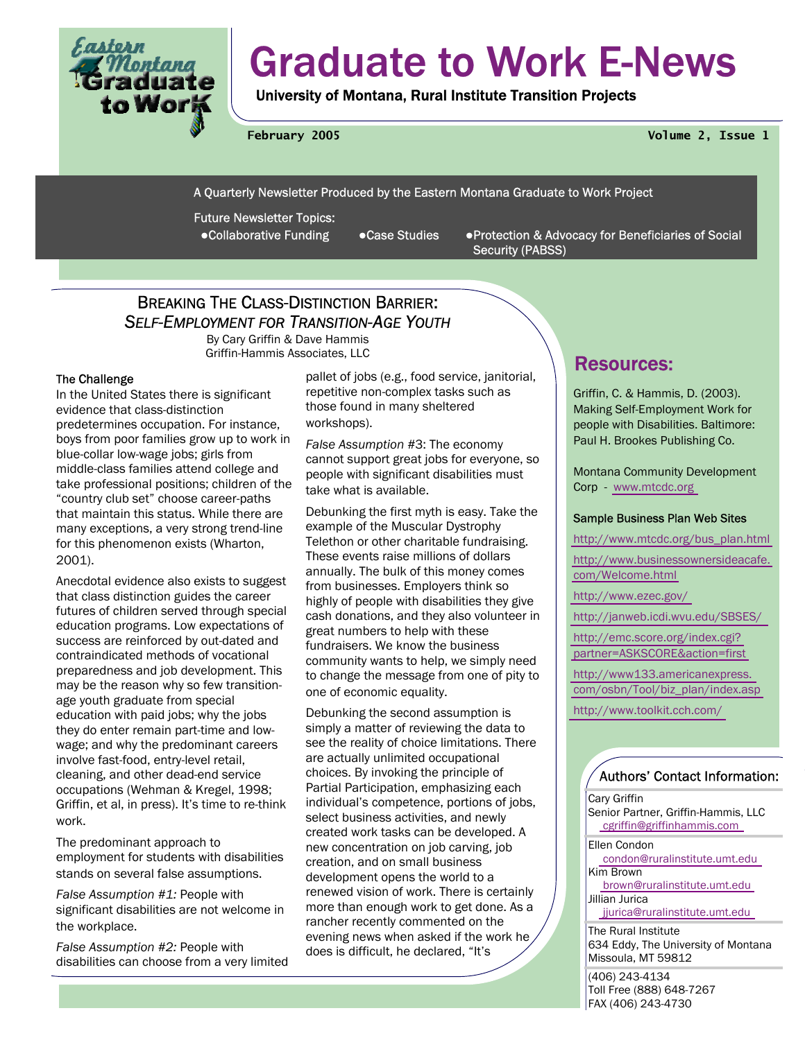

# Graduate to Work E-News

University of Montana, Rural Institute Transition Projects

**February 2005 Volume 2, Issue 1** 

A Quarterly Newsletter Produced by the Eastern Montana Graduate to Work Project

Future Newsletter Topics:

●Collaborative Funding ●Case Studies ●Protection & Advocacy for Beneficiaries of Social Security (PABSS)

### BREAKING THE CLASS-DISTINCTION BARRIER: *SELF-EMPLOYMENT FOR TRANSITION-AGE YOUTH*

By Cary Griffin & Dave Hammis Griffin-Hammis Associates, LLC **Resources:** 

### The Challenge

In the United States there is significant evidence that class-distinction predetermines occupation. For instance, boys from poor families grow up to work in blue-collar low-wage jobs; girls from middle-class families attend college and take professional positions; children of the "country club set" choose career-paths that maintain this status. While there are many exceptions, a very strong trend-line for this phenomenon exists (Wharton, 2001).

Anecdotal evidence also exists to suggest that class distinction guides the career futures of children served through special education programs. Low expectations of success are reinforced by out-dated and contraindicated methods of vocational preparedness and job development. This may be the reason why so few transitionage youth graduate from special education with paid jobs; why the jobs they do enter remain part-time and lowwage; and why the predominant careers involve fast-food, entry-level retail, cleaning, and other dead-end service occupations (Wehman & Kregel, 1998; Griffin, et al, in press). It's time to re-think work.

The predominant approach to employment for students with disabilities stands on several false assumptions.

*False Assumption #1:* People with significant disabilities are not welcome in the workplace.

*False Assumption #2:* People with disabilities can choose from a very limited pallet of jobs (e.g., food service, janitorial, repetitive non-complex tasks such as those found in many sheltered workshops).

*False Assumption #*3: The economy cannot support great jobs for everyone, so people with significant disabilities must take what is available.

Debunking the first myth is easy. Take the example of the Muscular Dystrophy Telethon or other charitable fundraising. These events raise millions of dollars annually. The bulk of this money comes from businesses. Employers think so highly of people with disabilities they give cash donations, and they also volunteer in great numbers to help with these fundraisers. We know the business community wants to help, we simply need to change the message from one of pity to one of economic equality.

Debunking the second assumption is simply a matter of reviewing the data to see the reality of choice limitations. There are actually unlimited occupational choices. By invoking the principle of Partial Participation, emphasizing each individual's competence, portions of jobs, select business activities, and newly created work tasks can be developed. A new concentration on job carving, job creation, and on small business development opens the world to a renewed vision of work. There is certainly more than enough work to get done. As a rancher recently commented on the evening news when asked if the work he does is difficult, he declared, "It's

Griffin, C. & Hammis, D. (2003). Making Self-Employment Work for people with Disabilities. Baltimore: Paul H. Brookes Publishing Co.

Montana Community Development Corp - [www.mtcdc.org](http://www.mtcdc.org) 

### Sample Business Plan Web Sites

[http://www.mtcdc.org/bus\\_plan.html](http://www.mtcdc.org/bus_plan.htm) 

[http://www.businessownersideacafe.](http://www.businessownersidecafe.com/Welcome.htm)  [com/Welcome.html](http://www.businessownersidecafe.com/Welcome.htm) 

[http://www.ezec.gov/](http://www.ezec.gov) 

[http://janweb.icdi.wvu.edu/SBSES/](http://janweb.icdi.wvu.edu/SBSES) 

[http://emc.score.org/index.cgi?](http://emc.score.org/index.cgi?partner=ASKSCORE&action=first) [partner=ASKSCORE&action=first](http://emc.score.org/index.cgi?partner=ASKSCORE&action=first) 

[http://www133.americanexpress.](http://www133.americanexpress.com/osbn/Tool/biz_plan/index.asp)  [com/osbn/Tool/biz\\_plan/index.asp](http://www133.americanexpress.com/osbn/Tool/biz_plan/index.asp) 

[http://www.toolkit.cch.com/](http://www.toolkit.cch.com) 

### Authors' Contact Information:

Cary Griffin Senior Partner, Griffin-Hammis, LLC [cgriffin@griffinhammis.com](mailto:cgriffin@griffinhammis.com) 

Ellen Condon

 [condon@ruralinstitute.umt.edu](mailto:condon@ruralinstitute.umt.edu)  Kim Brown [brown@ruralinstitute.umt.edu](mailto:brown@ruralinstitute.umt.edu)  Jillian Jurica [jjurica@ruralinstitute.umt.edu](mailto:jjurica@ruralinstitute.umt.edu) 

The Rural Institute 634 Eddy, The University of Montana Missoula, MT 59812

(406) 243-4134 Toll Free (888) 648-7267 FAX (406) 243-4730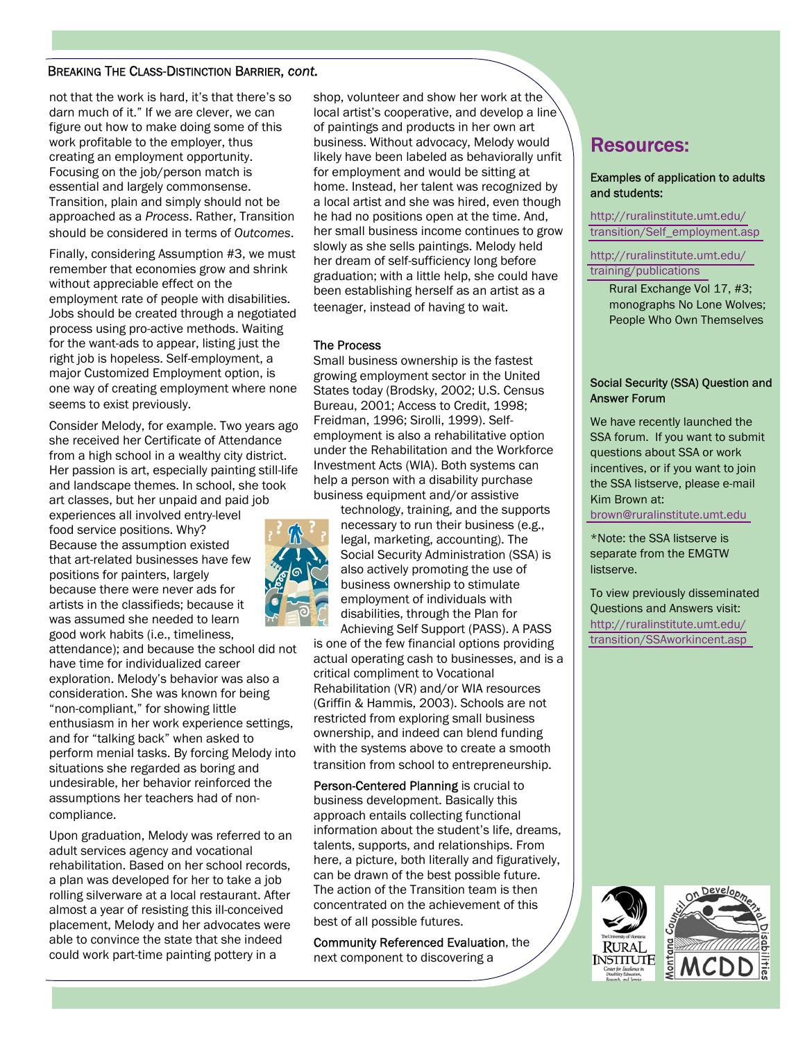not that the work is hard, it's that there's so darn much of it." If we are clever, we can figure out how to make doing some of this work profitable to the employer, thus creating an employment opportunity. Focusing on the job/person match is essential and largely commonsense. Transition, plain and simply should not be approached as a *Process*. Rather, Transition should be considered in terms of *Outcomes*.

Finally, considering Assumption #3, we must remember that economies grow and shrink without appreciable effect on the employment rate of people with disabilities. Jobs should be created through a negotiated process using pro-active methods. Waiting for the want-ads to appear, listing just the right job is hopeless. Self-employment, a major Customized Employment option, is one way of creating employment where none seems to exist previously.

Consider Melody, for example. Two years ago she received her Certificate of Attendance from a high school in a wealthy city district. Her passion is art, especially painting still-life and landscape themes. In school, she took art classes, but her unpaid and paid job

experiences all involved entry-level food service positions. Why? Because the assumption existed that art-related businesses have few positions for painters, largely because there were never ads for artists in the classifieds; because it was assumed she needed to learn good work habits (i.e., timeliness,

attendance); and because the school did not have time for individualized career exploration. Melody's behavior was also a consideration. She was known for being "non-compliant," for showing little enthusiasm in her work experience settings, and for "talking back" when asked to perform menial tasks. By forcing Melody into situations she regarded as boring and undesirable, her behavior reinforced the assumptions her teachers had of noncompliance.

Upon graduation, Melody was referred to an adult services agency and vocational rehabilitation. Based on her school records, a plan was developed for her to take a job rolling silverware at a local restaurant. After almost a year of resisting this ill-conceived placement, Melody and her advocates were able to convince the state that she indeed could work part-time painting pottery in a

shop, volunteer and show her work at the local artist's cooperative, and develop a line of paintings and products in her own art business. Without advocacy, Melody would likely have been labeled as behaviorally unfit for employment and would be sitting at home. Instead, her talent was recognized by a local artist and she was hired, even though he had no positions open at the time. And, her small business income continues to grow slowly as she sells paintings. Melody held her dream of self-sufficiency long before graduation; with a little help, she could have been establishing herself as an artist as a teenager, instead of having to wait.

### The Process

Small business ownership is the fastest growing employment sector in the United States today (Brodsky, 2002; U.S. Census Bureau, 2001; Access to Credit, 1998; Freidman, 1996; Sirolli, 1999). Selfemployment is also a rehabilitative option under the Rehabilitation and the Workforce Investment Acts (WIA). Both systems can help a person with a disability purchase business equipment and/or assistive



technology, training, and the supports necessary to run their business (e.g., legal, marketing, accounting). The Social Security Administration (SSA) is also actively promoting the use of business ownership to stimulate employment of individuals with disabilities, through the Plan for Achieving Self Support (PASS). A PASS

is one of the few financial options providing actual operating cash to businesses, and is a critical compliment to Vocational Rehabilitation (VR) and/or WIA resources (Griffin & Hammis, 2003). Schools are not restricted from exploring small business ownership, and indeed can blend funding with the systems above to create a smooth transition from school to entrepreneurship.

Person-Centered Planning is crucial to business development. Basically this approach entails collecting functional information about the student's life, dreams, talents, supports, and relationships. From here, a picture, both literally and figuratively, can be drawn of the best possible future. The action of the Transition team is then concentrated on the achievement of this best of all possible futures.

Community Referenced Evaluation, the next component to discovering a

### Resources:

#### Examples of application to adults and students:

[http://ruralinstitute.umt.edu/](http://www.ruralinstitute.umt.edu/transition/Self_employment.asp) [transition/Self\\_employment.asp](http://ruralinstitute.umt.edu/transition/Self_employment.asp) 

[http://ruralinstitute.umt.edu/](http://ruralinstitute.umt.edu/training/publications.asp) [training/publications](http://ruralinstitute.umt.edu/training/publications.asp) 

> Rural Exchange Vol 17, #3; monographs No Lone Wolves; People Who Own Themselves

### Social Security (SSA) Question and Answer Forum

We have recently launched the SSA forum. If you want to submit questions about SSA or work incentives, or if you want to join the SSA listserve, please e-mail Kim Brown at:

[brown@ruralinstitute.umt.edu](mailto:brown@ruralinstitute.umt.edu)

\*Note: the SSA listserve is separate from the EMGTW listserve.

To view previously disseminated Questions and Answers visit: [http://ruralinstitute.umt.edu/](http://www.ruralinstitute.umt.edu/transition/SSAworkincent.asp) [transition/SSAworkincent.asp](http://www.ruralinstitute.umt.edu/transition/SSAworkincent.asp) 

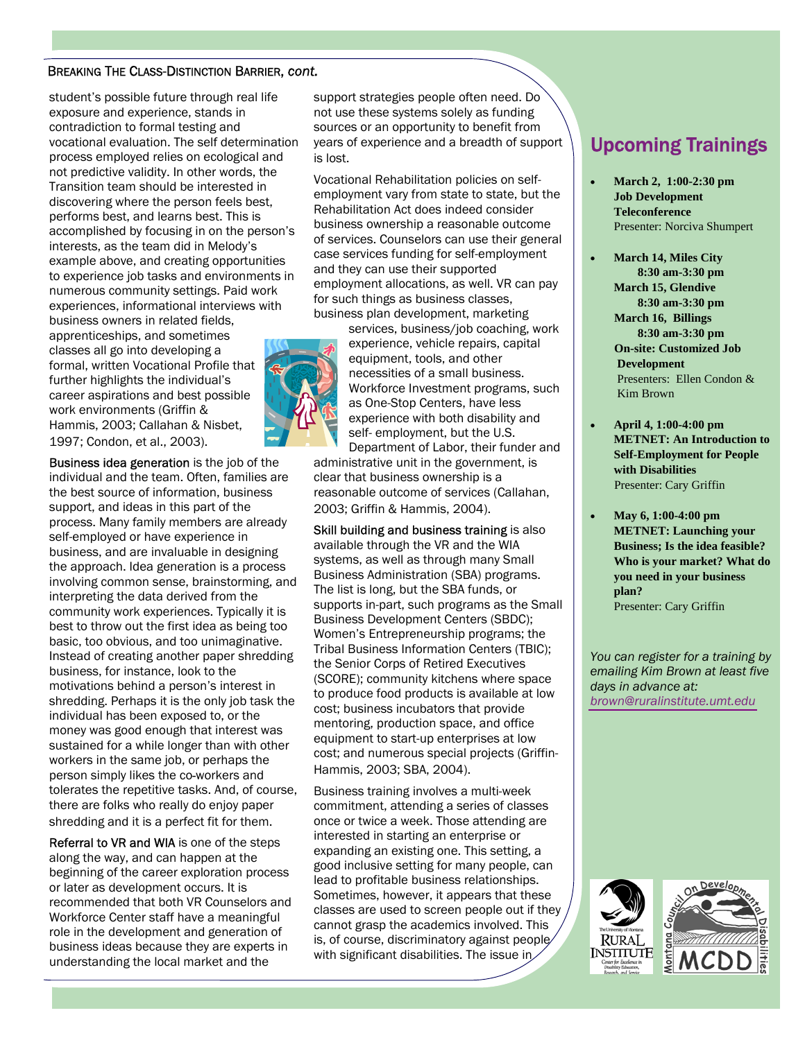student's possible future through real life exposure and experience, stands in contradiction to formal testing and vocational evaluation. The self determination process employed relies on ecological and not predictive validity. In other words, the Transition team should be interested in discovering where the person feels best, performs best, and learns best. This is accomplished by focusing in on the person's interests, as the team did in Melody's example above, and creating opportunities to experience job tasks and environments in numerous community settings. Paid work experiences, informational interviews with business owners in related fields, apprenticeships, and sometimes classes all go into developing a formal, written Vocational Profile that further highlights the individual's career aspirations and best possible work environments (Griffin & Hammis, 2003; Callahan & Nisbet, 1997; Condon, et al., 2003).

Business idea generation is the job of the individual and the team. Often, families are the best source of information, business support, and ideas in this part of the process. Many family members are already self-employed or have experience in business, and are invaluable in designing the approach. Idea generation is a process involving common sense, brainstorming, and interpreting the data derived from the community work experiences. Typically it is best to throw out the first idea as being too basic, too obvious, and too unimaginative. Instead of creating another paper shredding business, for instance, look to the motivations behind a person's interest in shredding. Perhaps it is the only job task the individual has been exposed to, or the money was good enough that interest was sustained for a while longer than with other workers in the same job, or perhaps the person simply likes the co*-*workers and tolerates the repetitive tasks. And, of course, there are folks who really do enjoy paper shredding and it is a perfect fit for them.

Referral to VR and WIA is one of the steps along the way, and can happen at the beginning of the career exploration process or later as development occurs. It is recommended that both VR Counselors and Workforce Center staff have a meaningful role in the development and generation of business ideas because they are experts in understanding the local market and the

support strategies people often need. Do not use these systems solely as funding sources or an opportunity to benefit from years of experience and a breadth of support is lost.

Vocational Rehabilitation policies on selfemployment vary from state to state, but the Rehabilitation Act does indeed consider business ownership a reasonable outcome of services. Counselors can use their general case services funding for self-employment and they can use their supported employment allocations, as well. VR can pay for such things as business classes, business plan development, marketing



services, business/job coaching, work experience, vehicle repairs, capital equipment, tools, and other necessities of a small business. Workforce Investment programs, such as One-Stop Centers, have less experience with both disability and self- employment, but the U.S. Department of Labor, their funder and

administrative unit in the government, is clear that business ownership is a reasonable outcome of services (Callahan, 2003; Griffin & Hammis, 2004).

Skill building and business training is also available through the VR and the WIA systems, as well as through many Small Business Administration (SBA) programs. The list is long, but the SBA funds, or supports in-part, such programs as the Small Business Development Centers (SBDC); Women's Entrepreneurship programs; the Tribal Business Information Centers (TBIC); the Senior Corps of Retired Executives (SCORE); community kitchens where space to produce food products is available at low cost; business incubators that provide mentoring, production space, and office equipment to start-up enterprises at low cost; and numerous special projects (Griffin-Hammis, 2003; SBA, 2004).

Business training involves a multi-week commitment, attending a series of classes once or twice a week. Those attending are interested in starting an enterprise or expanding an existing one. This setting, a good inclusive setting for many people, can lead to profitable business relationships. Sometimes, however, it appears that these classes are used to screen people out if they cannot grasp the academics involved. This is, of course, discriminatory against people with significant disabilities. The issue in

## Upcoming Trainings

- **March 2, 1:00-2:30 pm Job Development Teleconference**  Presenter: Norciva Shumpert
- **March 14, Miles City 8:30 am-3:30 pm March 15, Glendive 8:30 am-3:30 pm March 16, Billings 8:30 am-3:30 pm On-site: Customized Job Development**  Presenters: Ellen Condon & Kim Brown
- **April 4, 1:00-4:00 pm METNET: An Introduction to Self-Employment for People with Disabilities**  Presenter: Cary Griffin
- **May 6, 1:00-4:00 pm METNET: Launching your Business; Is the idea feasible? Who is your market? What do you need in your business plan?**  Presenter: Cary Griffin

*You can register for a training by emailing Kim Brown at least five days in advance at: [brown@ruralinstitute.umt.edu](mailto:brown@ruralinstitute.umt.edu)* 

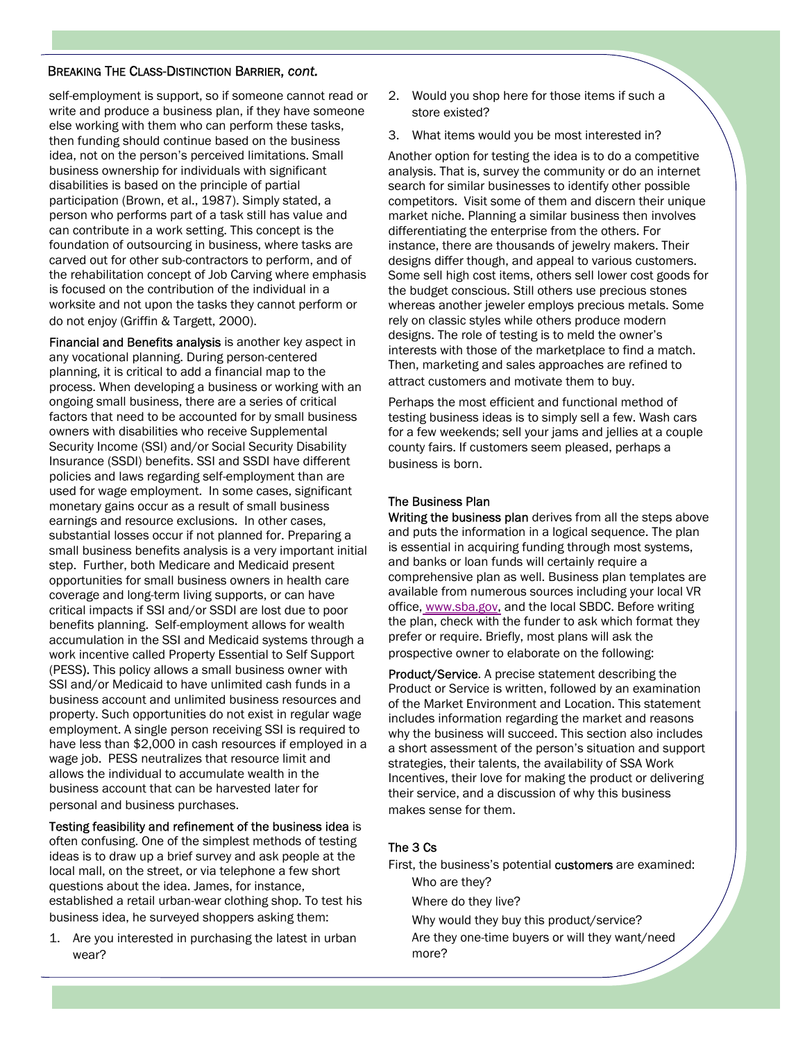self-employment is support, so if someone cannot read or write and produce a business plan, if they have someone else working with them who can perform these tasks, then funding should continue based on the business idea, not on the person's perceived limitations. Small business ownership for individuals with significant disabilities is based on the principle of partial participation (Brown, et al., 1987). Simply stated, a person who performs part of a task still has value and can contribute in a work setting. This concept is the foundation of outsourcing in business, where tasks are carved out for other sub-contractors to perform, and of the rehabilitation concept of Job Carving where emphasis is focused on the contribution of the individual in a worksite and not upon the tasks they cannot perform or do not enjoy (Griffin & Targett, 2000).

Financial and Benefits analysis is another key aspect in any vocational planning. During person-centered planning, it is critical to add a financial map to the process. When developing a business or working with an ongoing small business, there are a series of critical factors that need to be accounted for by small business owners with disabilities who receive Supplemental Security Income (SSI) and/or Social Security Disability Insurance (SSDI) benefits. SSI and SSDI have different policies and laws regarding self-employment than are used for wage employment. In some cases, significant monetary gains occur as a result of small business earnings and resource exclusions. In other cases, substantial losses occur if not planned for. Preparing a small business benefits analysis is a very important initial step. Further, both Medicare and Medicaid present opportunities for small business owners in health care coverage and long-term living supports, or can have critical impacts if SSI and/or SSDI are lost due to poor benefits planning. Self-employment allows for wealth accumulation in the SSI and Medicaid systems through a work incentive called Property Essential to Self Support (PESS). This policy allows a small business owner with SSI and/or Medicaid to have unlimited cash funds in a business account and unlimited business resources and property. Such opportunities do not exist in regular wage employment. A single person receiving SSI is required to have less than \$2,000 in cash resources if employed in a wage job. PESS neutralizes that resource limit and allows the individual to accumulate wealth in the business account that can be harvested later for personal and business purchases.

#### Testing feasibility and refinement of the business idea is

often confusing. One of the simplest methods of testing ideas is to draw up a brief survey and ask people at the local mall, on the street, or via telephone a few short questions about the idea. James, for instance, established a retail urban-wear clothing shop. To test his business idea, he surveyed shoppers asking them:

1. Are you interested in purchasing the latest in urban wear?

- 2. Would you shop here for those items if such a store existed?
- 3. What items would you be most interested in?

Another option for testing the idea is to do a competitive analysis. That is, survey the community or do an internet search for similar businesses to identify other possible competitors. Visit some of them and discern their unique market niche. Planning a similar business then involves differentiating the enterprise from the others. For instance, there are thousands of jewelry makers. Their designs differ though, and appeal to various customers. Some sell high cost items, others sell lower cost goods for the budget conscious. Still others use precious stones whereas another jeweler employs precious metals. Some rely on classic styles while others produce modern designs. The role of testing is to meld the owner's interests with those of the marketplace to find a match. Then, marketing and sales approaches are refined to attract customers and motivate them to buy.

Perhaps the most efficient and functional method of testing business ideas is to simply sell a few. Wash cars for a few weekends; sell your jams and jellies at a couple county fairs. If customers seem pleased, perhaps a business is born.

### The Business Plan

Writing the business plan derives from all the steps above and puts the information in a logical sequence. The plan is essential in acquiring funding through most systems, and banks or loan funds will certainly require a comprehensive plan as well. Business plan templates are available from numerous sources including your local VR office, [www.sba.gov,](http://www.sba.gov) and the local SBDC. Before writing the plan, check with the funder to ask which format they prefer or require. Briefly, most plans will ask the prospective owner to elaborate on the following:

Product/Service. A precise statement describing the Product or Service is written, followed by an examination of the Market Environment and Location. This statement includes information regarding the market and reasons why the business will succeed. This section also includes a short assessment of the person's situation and support strategies, their talents, the availability of SSA Work Incentives, their love for making the product or delivering their service, and a discussion of why this business makes sense for them.

### The 3 Cs

First, the business's potential customers are examined: Who are they?

Where do they live?

Why would they buy this product/service? Are they one-time buyers or will they want/need more?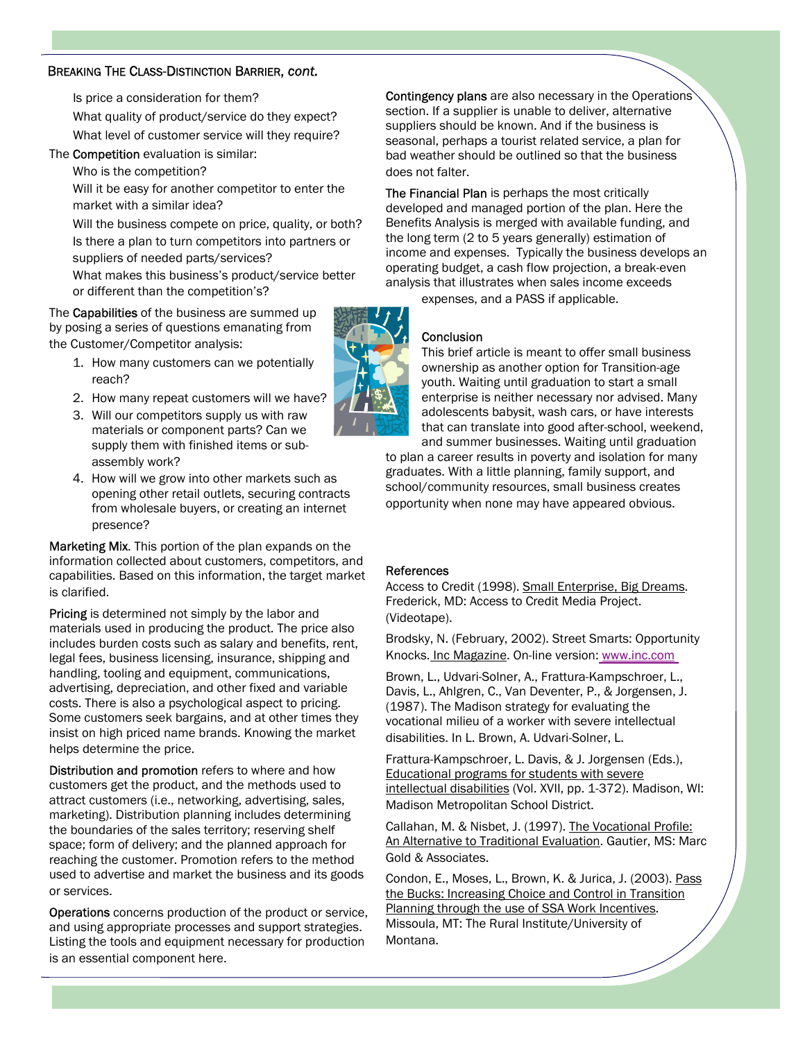Is price a consideration for them? What quality of product/service do they expect? What level of customer service will they require?

### The **Competition** evaluation is similar:

Who is the competition?

Will it be easy for another competitor to enter the market with a similar idea?

Will the business compete on price, quality, or both? Is there a plan to turn competitors into partners or suppliers of needed parts/services?

What makes this business's product/service better or different than the competition's?

The **Capabilities** of the business are summed up by posing a series of questions emanating from the Customer/Competitor analysis:

- 1. How many customers can we potentially reach?
- 2. How many repeat customers will we have?
- 3. Will our competitors supply us with raw materials or component parts? Can we supply them with finished items or subassembly work?
- 4. How will we grow into other markets such as opening other retail outlets, securing contracts from wholesale buyers, or creating an internet presence?

Marketing Mix. This portion of the plan expands on the information collected about customers, competitors, and capabilities. Based on this information, the target market is clarified.

**Pricing** is determined not simply by the labor and materials used in producing the product. The price also includes burden costs such as salary and benefits, rent, legal fees, business licensing, insurance, shipping and handling, tooling and equipment, communications, advertising, depreciation, and other fixed and variable costs. There is also a psychological aspect to pricing. Some customers seek bargains, and at other times they insist on high priced name brands. Knowing the market helps determine the price.

Distribution and promotion refers to where and how customers get the product, and the methods used to attract customers (i.e., networking, advertising, sales, marketing). Distribution planning includes determining the boundaries of the sales territory; reserving shelf space; form of delivery; and the planned approach for reaching the customer. Promotion refers to the method used to advertise and market the business and its goods or services.

Operations concerns production of the product or service, and using appropriate processes and support strategies. Listing the tools and equipment necessary for production is an essential component here.

Contingency plans are also necessary in the Operations section. If a supplier is unable to deliver, alternative suppliers should be known. And if the business is seasonal, perhaps a tourist related service, a plan for bad weather should be outlined so that the business does not falter.

The Financial Plan is perhaps the most critically developed and managed portion of the plan. Here the Benefits Analysis is merged with available funding, and the long term (2 to 5 years generally) estimation of income and expenses. Typically the business develops an operating budget, a cash flow projection, a break-even analysis that illustrates when sales income exceeds

expenses, and a PASS if applicable.

### **Conclusion**

This brief article is meant to offer small business ownership as another option for Transition-age youth. Waiting until graduation to start a small enterprise is neither necessary nor advised. Many adolescents babysit, wash cars, or have interests that can translate into good after-school, weekend, and summer businesses. Waiting until graduation

to plan a career results in poverty and isolation for many graduates. With a little planning, family support, and school/community resources, small business creates opportunity when none may have appeared obvious.

#### References

Access to Credit (1998). Small Enterprise, Big Dreams. Frederick, MD: Access to Credit Media Project. (Videotape).

Brodsky, N. (February, 2002). Street Smarts: Opportunity Knocks. Inc Magazine. On-line version[: www.inc.com](http://www.inc.com)

Brown, L., Udvari-Solner, A., Frattura-Kampschroer, L., Davis, L., Ahlgren, C., Van Deventer, P., & Jorgensen, J. (1987). The Madison strategy for evaluating the vocational milieu of a worker with severe intellectual disabilities. In L. Brown, A. Udvari-Solner, L.

Frattura-Kampschroer, L. Davis, & J. Jorgensen (Eds.), Educational programs for students with severe intellectual disabilities (Vol. XVII, pp. 1-372). Madison, WI: Madison Metropolitan School District.

Callahan, M. & Nisbet, J. (1997). The Vocational Profile: An Alternative to Traditional Evaluation. Gautier, MS: Marc Gold & Associates.

Condon, E., Moses, L., Brown, K. & Jurica, J. (2003). Pass the Bucks: Increasing Choice and Control in Transition Planning through the use of SSA Work Incentives. Missoula, MT: The Rural Institute/University of Montana.